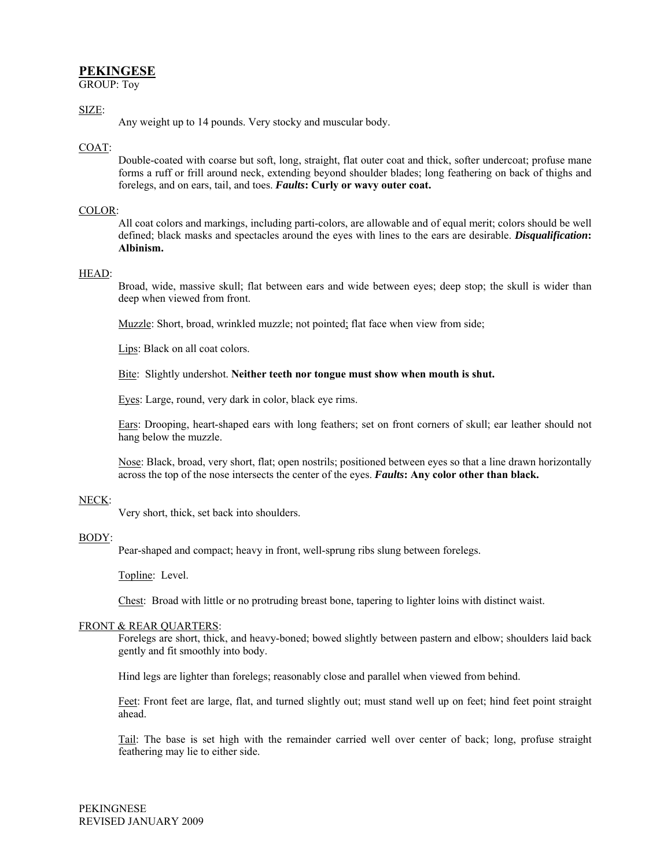# **PEKINGESE**

GROUP: Toy

# SIZE:

Any weight up to 14 pounds. Very stocky and muscular body.

## COAT:

Double-coated with coarse but soft, long, straight, flat outer coat and thick, softer undercoat; profuse mane forms a ruff or frill around neck, extending beyond shoulder blades; long feathering on back of thighs and forelegs, and on ears, tail, and toes. *Faults***: Curly or wavy outer coat.** 

# COLOR:

All coat colors and markings, including parti-colors, are allowable and of equal merit; colors should be well defined; black masks and spectacles around the eyes with lines to the ears are desirable. *Disqualification***: Albinism.** 

#### HEAD:

Broad, wide, massive skull; flat between ears and wide between eyes; deep stop; the skull is wider than deep when viewed from front.

Muzzle: Short, broad, wrinkled muzzle; not pointed; flat face when view from side;

Lips: Black on all coat colors.

Bite: Slightly undershot. **Neither teeth nor tongue must show when mouth is shut.** 

Eyes: Large, round, very dark in color, black eye rims.

Ears: Drooping, heart-shaped ears with long feathers; set on front corners of skull; ear leather should not hang below the muzzle.

Nose: Black, broad, very short, flat; open nostrils; positioned between eyes so that a line drawn horizontally across the top of the nose intersects the center of the eyes. *Faults***: Any color other than black.** 

# NECK:

Very short, thick, set back into shoulders.

#### BODY:

Pear-shaped and compact; heavy in front, well-sprung ribs slung between forelegs.

Topline: Level.

Chest: Broad with little or no protruding breast bone, tapering to lighter loins with distinct waist.

#### FRONT & REAR QUARTERS:

Forelegs are short, thick, and heavy-boned; bowed slightly between pastern and elbow; shoulders laid back gently and fit smoothly into body.

Hind legs are lighter than forelegs; reasonably close and parallel when viewed from behind.

Feet: Front feet are large, flat, and turned slightly out; must stand well up on feet; hind feet point straight ahead.

Tail: The base is set high with the remainder carried well over center of back; long, profuse straight feathering may lie to either side.